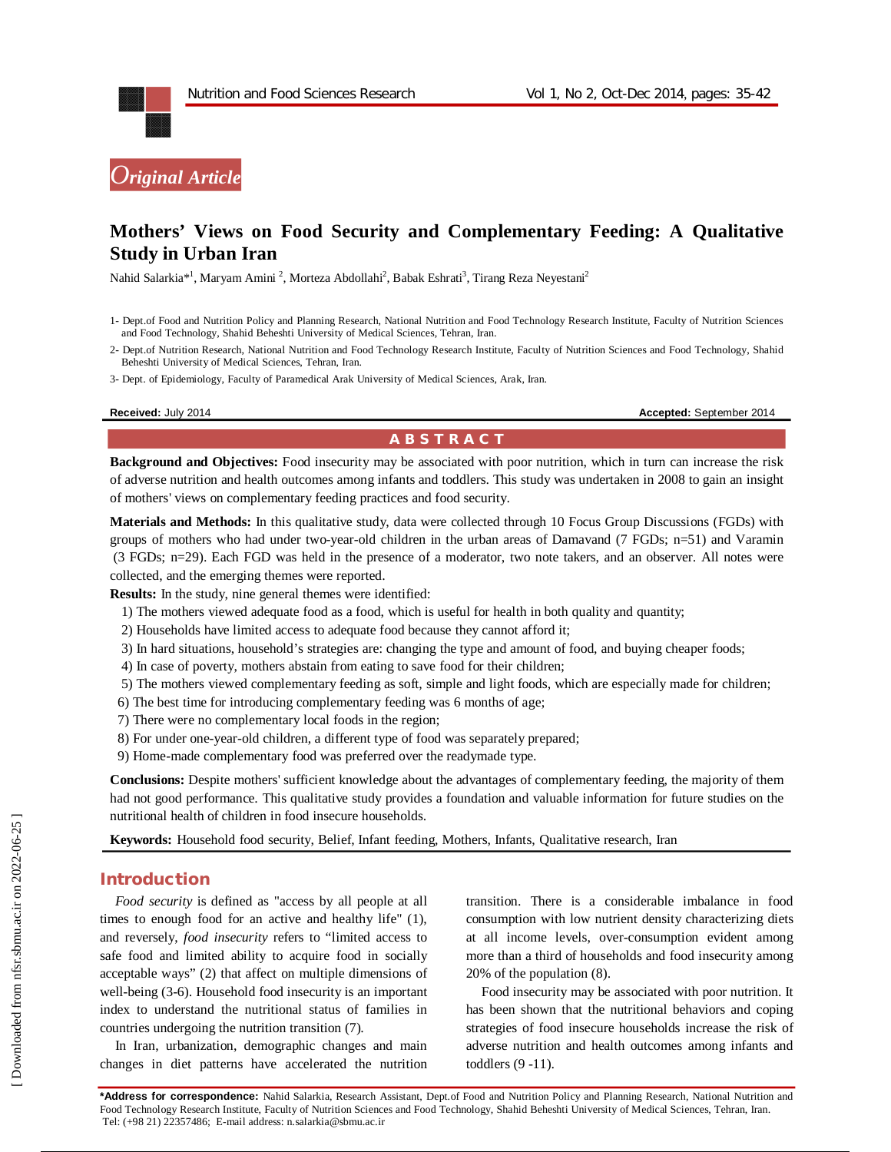

# **Mothers' Views on Food Security and Complementary Feeding: A Qualitative Study in Urban Iran**

Nahid Salarkia\*<sup>1</sup>, Maryam Amini<sup>2</sup>, Morteza Abdollahi<sup>2</sup>, Babak Eshrati<sup>3</sup>, Tirang Reza Neyestani<sup>2</sup>

- 1- Dept.of Food and Nutrition Policy and Planning Research, National Nutrition and Food Technology Research Institute, Faculty of Nutrition Sciences and Food Technology, Shahid Beheshti University of Medical Sciences, Tehran, Iran.
- 2- Dept.of Nutrition Research, National Nutrition and Food Technology Research Institute, Faculty of Nutrition Sciences and Food Technology, Shahid Beheshti University of Medical Sciences, Tehran, Iran.
- 3- Dept. of Epidemiology, Faculty of Paramedical Arak University of Medical Sciences, Arak, Iran.

**Received:** July 2014 **Accepted: September 2014 Accepted: September 2014** 

# **A B S T R A C T**

**Background and Objectives:** Food insecurity may be associated with poor nutrition, which in turn can increase the risk of adverse nutrition and health outcomes among infants and toddlers. This study was undertaken in 2008 to gain an insight of mothers' views on complementary feeding practices and food security.

**Materials and Methods:** In this qualitative study, data were collected through 10 Focus Group Discussions (FGDs) with groups of mothers who had under two-year-old children in the urban areas of Damavand (7 FGDs; n=51) and Varamin (3 FGDs; n=29). Each FGD was held in the presence of a moderator, two note takers, and an observer. All notes were collected, and the emerging themes were reported.

**Results:** In the study, nine general themes were identified:

- 1) The mothers viewed adequate food as a food, which is useful for health in both quality and quantity;
- 2) Households have limited access to adequate food because they cannot afford it;
- 3) In hard situations, household's strategies are: changing the type and amount of food, and buying cheaper foods;
- 4) In case of poverty, mothers abstain from eating to save food for their children;
- 5) The mothers viewed complementary feeding as soft, simple and light foods, which are especially made for children;
- 6) The best time for introducing complementary feeding was 6 months of age;
- 7) There were no complementary local foods in the region;
- 8) For under one-year-old children, a different type of food was separately prepared;
- 9) Home-made complementary food was preferred over the readymade type.

**Conclusions:** Despite mothers' sufficient knowledge about the advantages of complementary feeding, the majority of them had not good performance. This qualitative study provides a foundation and valuable information for future studies on the nutritional health of children in food insecure households.

**Keywords:** Household food security, Belief, Infant feeding, Mothers, Infants, Qualitative research, Iran

#### **Introduction**

*Food security* is defined as "access by all people at all times to enough food for an active and healthy life" (1), and reversely, *food insecurity* refers to "limited access to safe food and limited ability to acquire food in socially acceptable ways" (2) that affect on multiple dimensions of well-being (3-6). Household food insecurity is an important index to understand the nutritional status of families in countries undergoing the nutrition transition (7).

In Iran, urbanization, demographic changes and main changes in diet patterns have accelerated the nutrition

transition. There is a considerable imbalance in food consumption with low nutrient density characterizing diets at all income levels, over-consumption evident among more than a third of households and food insecurity among 20% of the population (8).

Food insecurity may be associated with poor nutrition. It has been shown that the nutritional behaviors and coping strategies of food insecure households increase the risk of adverse nutrition and health outcomes among infants and toddlers (9 -11).

**\*Address for correspondence:** Nahid Salarkia, Research Assistant, Dept.of Food and Nutrition Policy and Planning Research, National Nutrition and Food Technology Research Institute, Faculty of Nutrition Sciences and Food Technology, Shahid Beheshti University of Medical Sciences, Tehran, Iran. Tel: (+98 21) 22357486; E-mail address: n.salarkia@sbmu.ac.ir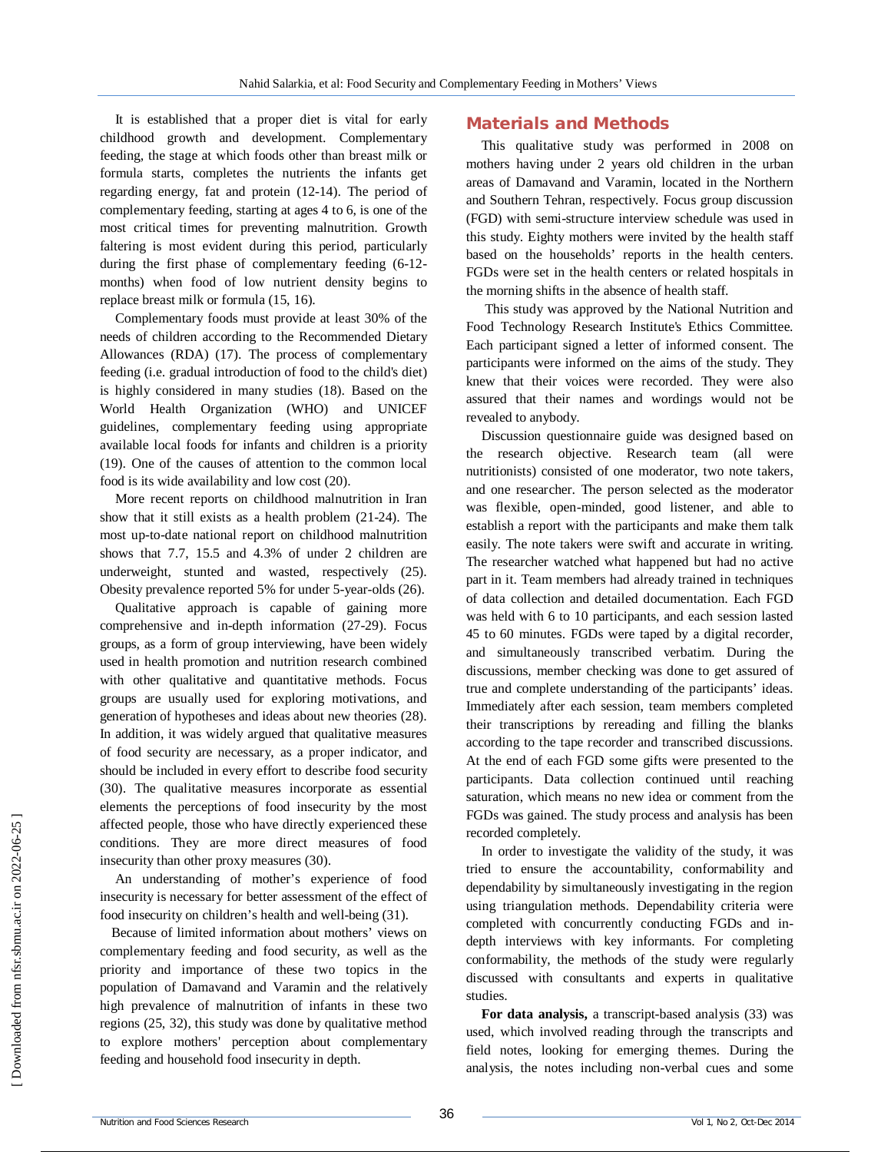It is established that a proper diet is vital for early childhood growth and development. Complementary feeding, the stage at which foods other than breast milk or formula starts, completes the nutrients the infants get regarding energy, fat and protein (12-14). The period of complementary feeding, starting at ages 4 to 6, is one of the most critical times for preventing malnutrition. Growth faltering is most evident during this period, particularly during the first phase of complementary feeding (6-12 months) when food of low nutrient density begins to replace breast milk or formula (15, 16).

Complementary foods must provide at least 30% of the needs of children according to the Recommended Dietary Allowances (RDA) (17). The process of complementary feeding (i.e. gradual introduction of food to the child's diet) is highly considered in many studies (18). Based on the World Health Organization (WHO) and UNICEF guidelines, complementary feeding using appropriate available local foods for infants and children is a priority (19). One of the causes of attention to the common local food is its wide availability and low cost (20).

More recent reports on childhood malnutrition in Iran show that it still exists as a health problem (21-24). The most up-to-date national report on childhood malnutrition shows that 7.7, 15.5 and 4.3% of under 2 children are underweight, stunted and wasted, respectively (25). Obesity prevalence reported 5% for under 5-year-olds (26).

Qualitative approach is capable of gaining more comprehensive and in-depth information (27-29). Focus groups, as a form of group interviewing, have been widely used in health promotion and nutrition research combined with other qualitative and quantitative methods. Focus groups are usually used for exploring motivations, and generation of hypotheses and ideas about new theories (28). In addition, it was widely argued that qualitative measures of food security are necessary, as a proper indicator, and should be included in every effort to describe food security (30). The qualitative measures incorporate as essential elements the perceptions of food insecurity by the most affected people, those who have directly experienced these conditions. They are more direct measures of food insecurity than other proxy measures (30).

An understanding of mother's experience of food insecurity is necessary for better assessment of the effect of food insecurity on children's health and well-being (31).

Because of limited information about mothers' views on complementary feeding and food security, as well as the priority and importance of these two topics in the population of Damavand and Varamin and the relatively high prevalence of malnutrition of infants in these two regions (25, 32), this study was done by qualitative method to explore mothers' perception about complementary feeding and household food insecurity in depth.

# **Materials and Methods**

This qualitative study was performed in 2008 on mothers having under 2 years old children in the urban areas of Damavand and Varamin, located in the Northern and Southern Tehran, respectively. Focus group discussion (FGD) with semi-structure interview schedule was used in this study. Eighty mothers were invited by the health staff based on the households' reports in the health centers. FGDs were set in the health centers or related hospitals in the morning shifts in the absence of health staff.

This study was approved by the National Nutrition and Food Technology Research Institute's Ethics Committee. Each participant signed a letter of informed consent. The participants were informed on the aims of the study. They knew that their voices were recorded. They were also assured that their names and wordings would not be revealed to anybody.

Discussion questionnaire guide was designed based on the research objective. Research team (all were nutritionists) consisted of one moderator, two note takers, and one researcher. The person selected as the moderator was flexible, open-minded, good listener, and able to establish a report with the participants and make them talk easily. The note takers were swift and accurate in writing. The researcher watched what happened but had no active part in it. Team members had already trained in techniques of data collection and detailed documentation. Each FGD was held with 6 to 10 participants, and each session lasted 45 to 60 minutes. FGDs were taped by a digital recorder, and simultaneously transcribed verbatim. During the discussions, member checking was done to get assured of true and complete understanding of the participants' ideas. Immediately after each session, team members completed their transcriptions by rereading and filling the blanks according to the tape recorder and transcribed discussions. At the end of each FGD some gifts were presented to the participants. Data collection continued until reaching saturation, which means no new idea or comment from the FGDs was gained. The study process and analysis has been recorded completely.

In order to investigate the validity of the study, it was tried to ensure the accountability, conformability and dependability by simultaneously investigating in the region using triangulation methods. Dependability criteria were completed with concurrently conducting FGDs and indepth interviews with key informants. For completing conformability, the methods of the study were regularly discussed with consultants and experts in qualitative studies.

**For data analysis,** a transcript-based analysis (33) was used, which involved reading through the transcripts and field notes, looking for emerging themes. During the analysis, the notes including non-verbal cues and some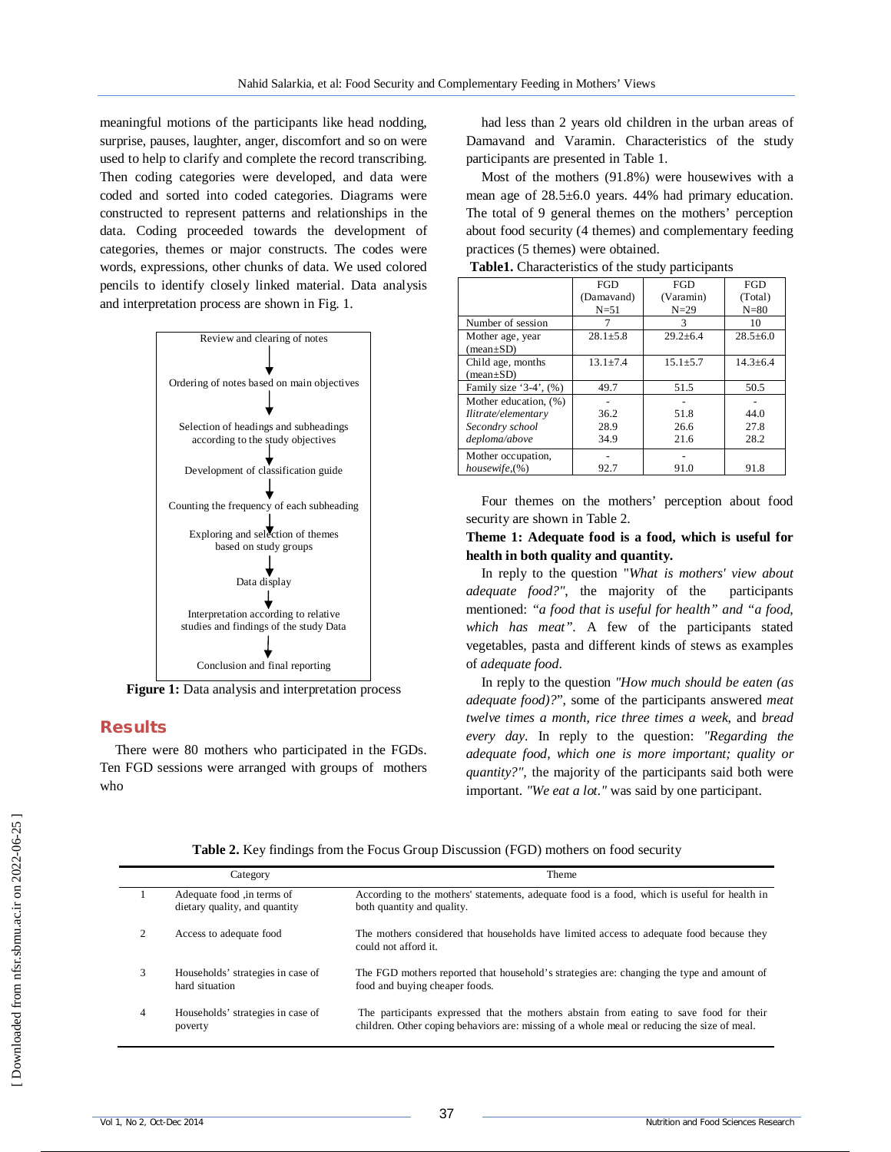meaningful motions of the participants like head nodding, surprise, pauses, laughter, anger, discomfort and so on were used to help to clarify and complete the record transcribing. Then coding categories were developed, and data were coded and sorted into coded categories. Diagrams were constructed to represent patterns and relationships in the data. Coding proceeded towards the development of categories, themes or major constructs. The codes were words, expressions, other chunks of data. We used colored pencils to identify closely linked material. Data analysis and interpretation process are shown in Fig. 1.



Figure 1: Data analysis and interpretation process

# **Results**

There were 80 mothers who participated in the FGDs. Ten FGD sessions were arranged with groups of mothers who

had less than 2 years old children in the urban areas of Damavand and Varamin. Characteristics of the study participants are presented in Table 1.

Most of the mothers (91.8%) were housewives with a mean age of 28.5±6.0 years. 44% had primary education. The total of 9 general themes on the mothers' perception about food security (4 themes) and complementary feeding practices (5 themes) were obtained.

|                               | <b>FGD</b>     | <b>FGD</b>     | <b>FGD</b>     |
|-------------------------------|----------------|----------------|----------------|
|                               | (Damavand)     | (Varamin)      | (Total)        |
|                               | $N = 51$       | $N=29$         | $N=80$         |
| Number of session             |                | 3              | 10             |
| Mother age, year              | $28.1 \pm 5.8$ | $29.2 \pm 6.4$ | $28.5 \pm 6.0$ |
| $(\text{mean} \pm \text{SD})$ |                |                |                |
| Child age, months             | $13.1 \pm 7.4$ | $15.1 + 5.7$   | $14.3 \pm 6.4$ |
| $(\text{mean}\pm S\text{D})$  |                |                |                |
| Family size '3-4', $(\%)$     | 49.7           | 51.5           | 50.5           |
| Mother education. (%)         |                |                |                |
| Ilitrate/elementary           | 36.2           | 51.8           | 44.0           |
| Secondry school               | 28.9           | 26.6           | 27.8           |
| deploma/above                 | 34.9           | 21.6           | 28.2           |
| Mother occupation,            |                |                |                |
| housewife, (%)                | 92.7           | 91.0           | 91.8           |

**Table1.** Characteristics of the study participants

Four themes on the mothers' perception about food security are shown in Table 2.

#### **Theme 1: Adequate food is a food, which is useful for health in both quality and quantity.**

In reply to the question "*What is mothers' view about adequate food?"*, the majority of the participants mentioned: *"a food that is useful for health" and "a food, which has meat"*. A few of the participants stated vegetables, pasta and different kinds of stews as examples of *adequate food*.

In reply to the question *"How much should be eaten (as adequate food)?*", some of the participants answered *meat twelve times a month*, *rice three times a week*, and *bread every day*. In reply to the question: *"Regarding the adequate food, which one is more important; quality or quantity?",* the majority of the participants said both were important. *"We eat a lot."* was said by one participant.

|  |  |  | Table 2. Key findings from the Focus Group Discussion (FGD) mothers on food security |  |  |
|--|--|--|--------------------------------------------------------------------------------------|--|--|
|  |  |  |                                                                                      |  |  |

|   | Category                                                     | Theme                                                                                                                                                                                 |
|---|--------------------------------------------------------------|---------------------------------------------------------------------------------------------------------------------------------------------------------------------------------------|
|   | Adequate food , in terms of<br>dietary quality, and quantity | According to the mothers' statements, adequate food is a food, which is useful for health in<br>both quantity and quality.                                                            |
| 2 | Access to adequate food                                      | The mothers considered that households have limited access to adequate food because they<br>could not afford it                                                                       |
| 3 | Households' strategies in case of<br>hard situation          | The FGD mothers reported that household's strategies are: changing the type and amount of<br>food and buying cheaper foods.                                                           |
| 4 | Households' strategies in case of<br>poverty                 | The participants expressed that the mothers abstain from eating to save food for their<br>children. Other coping behaviors are: missing of a whole meal or reducing the size of meal. |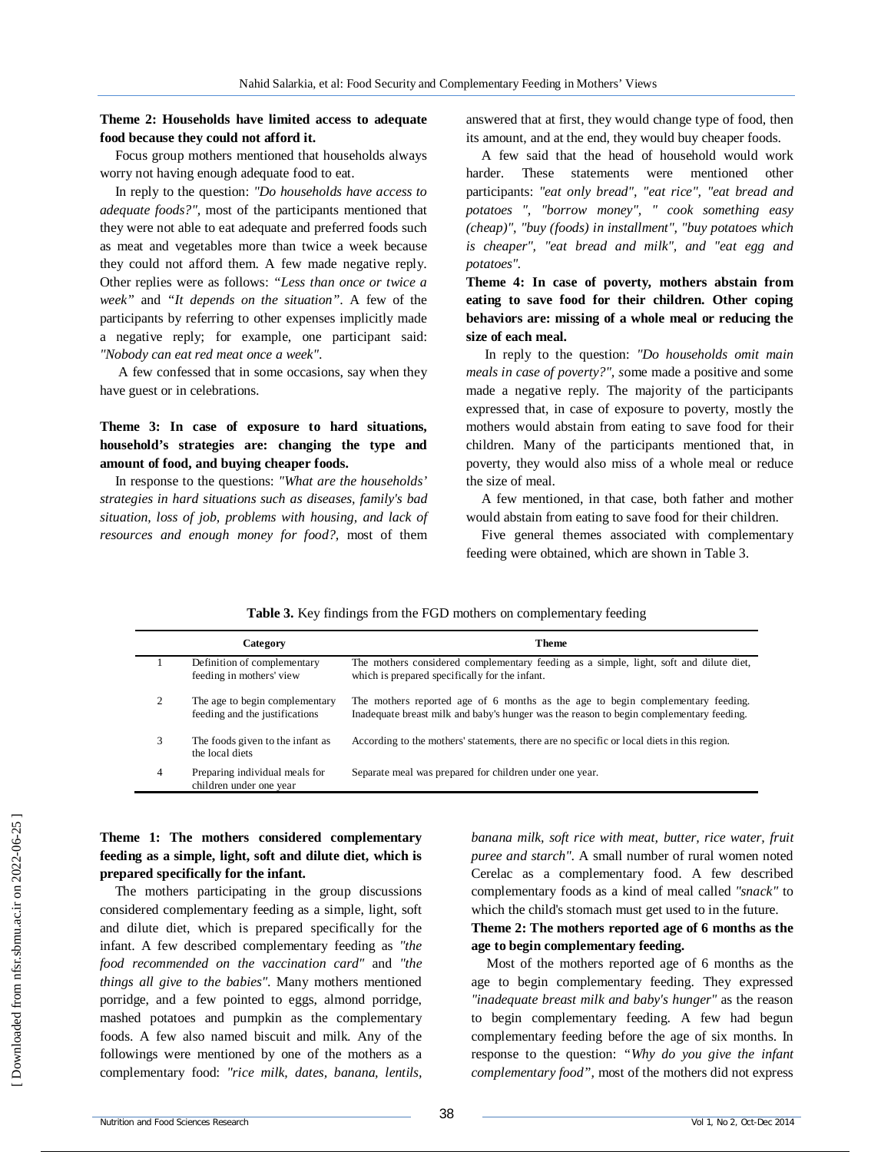#### **Theme 2: Households have limited access to adequate food because they could not afford it.**

Focus group mothers mentioned that households always worry not having enough adequate food to eat.

In reply to the question: *"Do households have access to adequate foods?",* most of the participants mentioned that they were not able to eat adequate and preferred foods such as meat and vegetables more than twice a week because they could not afford them. A few made negative reply. Other replies were as follows: *"Less than once or twice a week"* and *"It depends on the situation"*. A few of the participants by referring to other expenses implicitly made a negative reply; for example, one participant said: *"Nobody can eat red meat once a week"*.

A few confessed that in some occasions, say when they have guest or in celebrations.

# **Theme 3: In case of exposure to hard situations, household's strategies are: changing the type and amount of food, and buying cheaper foods.**

In response to the questions: *"What are the households' strategies in hard situations such as diseases, family's bad situation, loss of job, problems with housing, and lack of resources and enough money for food?,* most of them answered that at first, they would change type of food, then its amount, and at the end, they would buy cheaper foods.

A few said that the head of household would work harder. These statements were mentioned other participants: *"eat only bread", "eat rice", "eat bread and potatoes ", "borrow money", " cook something easy (cheap)", "buy (foods) in installment", "buy potatoes which is cheaper", "eat bread and milk", and "eat egg and potatoes".*

**Theme 4: In case of poverty, mothers abstain from eating to save food for their children. Other coping behaviors are: missing of a whole meal or reducing the size of each meal.**

In reply to the question: *"Do households omit main meals in case of poverty?", s*ome made a positive and some made a negative reply. The majority of the participants expressed that, in case of exposure to poverty, mostly the mothers would abstain from eating to save food for their children. Many of the participants mentioned that, in poverty, they would also miss of a whole meal or reduce the size of meal.

A few mentioned, in that case, both father and mother would abstain from eating to save food for their children.

Five general themes associated with complementary feeding were obtained, which are shown in Table 3.

**Table 3.** Key findings from the FGD mothers on complementary feeding

|   | Category                                                         | Theme                                                                                                                                                                      |
|---|------------------------------------------------------------------|----------------------------------------------------------------------------------------------------------------------------------------------------------------------------|
|   | Definition of complementary<br>feeding in mothers' view          | The mothers considered complementary feeding as a simple, light, soft and dilute diet,<br>which is prepared specifically for the infant.                                   |
| 2 | The age to begin complementary<br>feeding and the justifications | The mothers reported age of 6 months as the age to begin complementary feeding.<br>Inadequate breast milk and baby's hunger was the reason to begin complementary feeding. |
| 3 | The foods given to the infant as<br>the local diets              | According to the mothers' statements, there are no specific or local diets in this region.                                                                                 |
| 4 | Preparing individual meals for<br>children under one year        | Separate meal was prepared for children under one year.                                                                                                                    |

# **Theme 1: The mothers considered complementary feeding as a simple, light, soft and dilute diet, which is prepared specifically for the infant.**

The mothers participating in the group discussions considered complementary feeding as a simple, light, soft and dilute diet, which is prepared specifically for the infant. A few described complementary feeding as *"the food recommended on the vaccination card"* and *"the things all give to the babies"*. Many mothers mentioned porridge, and a few pointed to eggs, almond porridge, mashed potatoes and pumpkin as the complementary foods. A few also named biscuit and milk. Any of the followings were mentioned by one of the mothers as a complementary food: *"rice milk, dates, banana, lentils,* 

banana milk, soft rice with meat, butter, rice water, fruit *puree and starch"*. A small number of rural women noted Cerelac as a complementary food. A few described complementary foods as a kind of meal called *"snack"* to which the child's stomach must get used to in the future.

### **Theme 2: The mothers reported age of 6 months as the age to begin complementary feeding.**

Most of the mothers reported age of 6 months as the age to begin complementary feeding. They expressed *"inadequate breast milk and baby's hunger"* as the reason to begin complementary feeding. A few had begun complementary feeding before the age of six months. In response to the question: *"Why do you give the infant complementary food",* most of the mothers did not express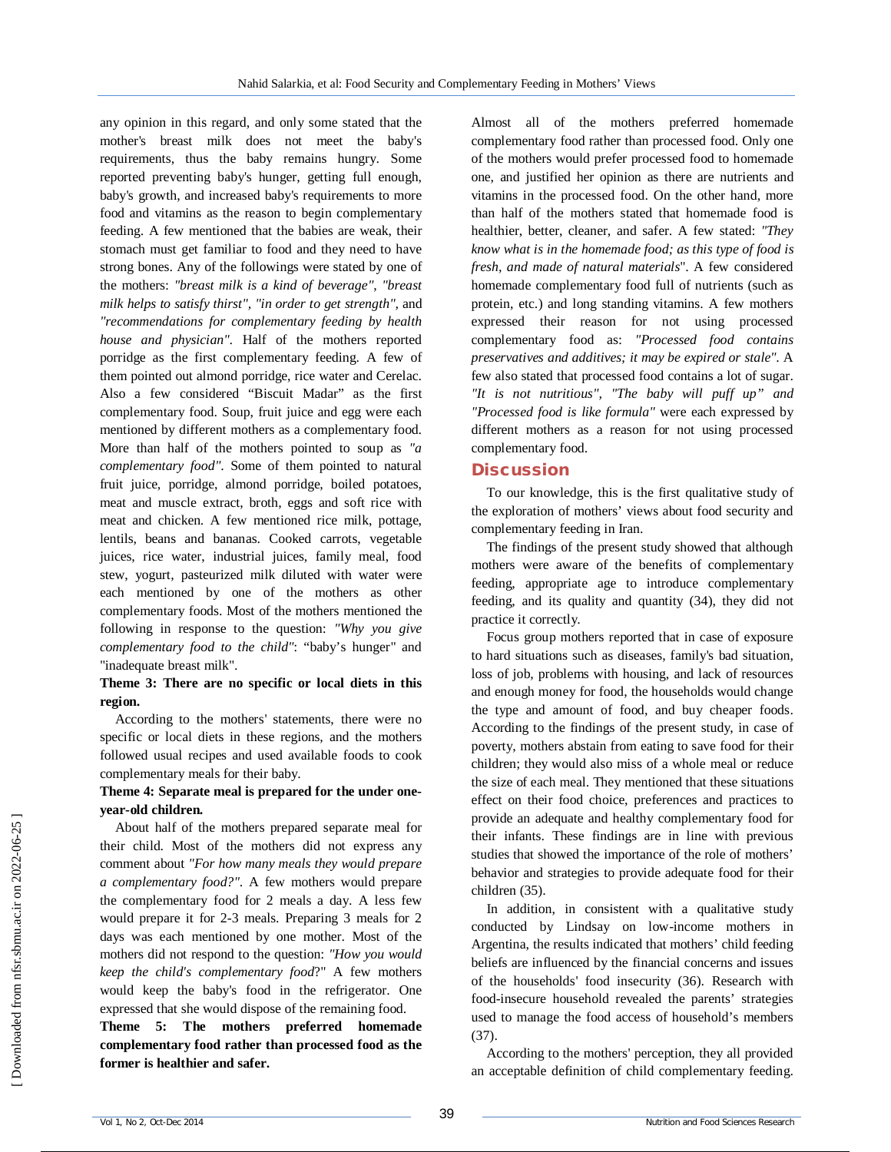any opinion in this regard, and only some stated that the mother's breast milk does not meet the baby's requirements, thus the baby remains hungry. Some reported preventing baby's hunger, getting full enough, baby's growth, and increased baby's requirements to more food and vitamins as the reason to begin complementary feeding. A few mentioned that the babies are weak, their stomach must get familiar to food and they need to have strong bones. Any of the followings were stated by one of the mothers: *"breast milk is a kind of beverage"*, *"breast milk helps to satisfy thirst", "in order to get strength",* and *"recommendations for complementary feeding by health house and physician"*. Half of the mothers reported porridge as the first complementary feeding. A few of them pointed out almond porridge, rice water and Cerelac. Also a few considered "Biscuit Madar" as the first complementary food. Soup, fruit juice and egg were each mentioned by different mothers as a complementary food. More than half of the mothers pointed to soup as *"a complementary food"*. Some of them pointed to natural fruit juice, porridge, almond porridge, boiled potatoes, meat and muscle extract, broth, eggs and soft rice with meat and chicken. A few mentioned rice milk, pottage, lentils, beans and bananas. Cooked carrots, vegetable juices, rice water, industrial juices, family meal, food stew, yogurt, pasteurized milk diluted with water were each mentioned by one of the mothers as other complementary foods. Most of the mothers mentioned the following in response to the question: *"Why you give complementary food to the child"*: "baby's hunger" and "inadequate breast milk".

#### **Theme 3: There are no specific or local diets in this region.**

According to the mothers' statements, there were no specific or local diets in these regions, and the mothers followed usual recipes and used available foods to cook complementary meals for their baby.

# **Theme 4: Separate meal is prepared for the under oneyear-old children.**

About half of the mothers prepared separate meal for their child. Most of the mothers did not express any comment about *"For how many meals they would prepare a complementary food?"*. A few mothers would prepare the complementary food for 2 meals a day. A less few would prepare it for 2-3 meals. Preparing 3 meals for 2 days was each mentioned by one mother. Most of the mothers did not respond to the question: *"How you would keep the child's complementary food*?" A few mothers would keep the baby's food in the refrigerator. One expressed that she would dispose of the remaining food.

**Theme 5: The mothers preferred homemade complementary food rather than processed food as the former is healthier and safer.** 

Almost all of the mothers preferred homemade complementary food rather than processed food. Only one of the mothers would prefer processed food to homemade one, and justified her opinion as there are nutrients and vitamins in the processed food. On the other hand, more than half of the mothers stated that homemade food is healthier, better, cleaner, and safer. A few stated: *"They know what is in the homemade food; as this type of food is fresh, and made of natural materials*". A few considered homemade complementary food full of nutrients (such as protein, etc.) and long standing vitamins. A few mothers expressed their reason for not using processed complementary food as: *"Processed food contains preservatives and additives; it may be expired or stale"*. A few also stated that processed food contains a lot of sugar. *"It is not nutritious", "The baby will puff up" and "Processed food is like formula"* were each expressed by different mothers as a reason for not using processed complementary food.

# **Discussion**

To our knowledge, this is the first qualitative study of the exploration of mothers' views about food security and complementary feeding in Iran.

The findings of the present study showed that although mothers were aware of the benefits of complementary feeding, appropriate age to introduce complementary feeding, and its quality and quantity (34), they did not practice it correctly.

Focus group mothers reported that in case of exposure to hard situations such as diseases, family's bad situation, loss of job, problems with housing, and lack of resources and enough money for food, the households would change the type and amount of food, and buy cheaper foods. According to the findings of the present study, in case of poverty, mothers abstain from eating to save food for their children; they would also miss of a whole meal or reduce the size of each meal. They mentioned that these situations effect on their food choice, preferences and practices to provide an adequate and healthy complementary food for their infants. These findings are in line with previous studies that showed the importance of the role of mothers' behavior and strategies to provide adequate food for their children (35).

In addition, in consistent with a qualitative study conducted by Lindsay on low-income mothers in Argentina, the results indicated that mothers' child feeding beliefs are influenced by the financial concerns and issues of the households' food insecurity (36). Research with food-insecure household revealed the parents' strategies used to manage the food access of household's members (37).

According to the mothers' perception, they all provided an acceptable definition of child complementary feeding.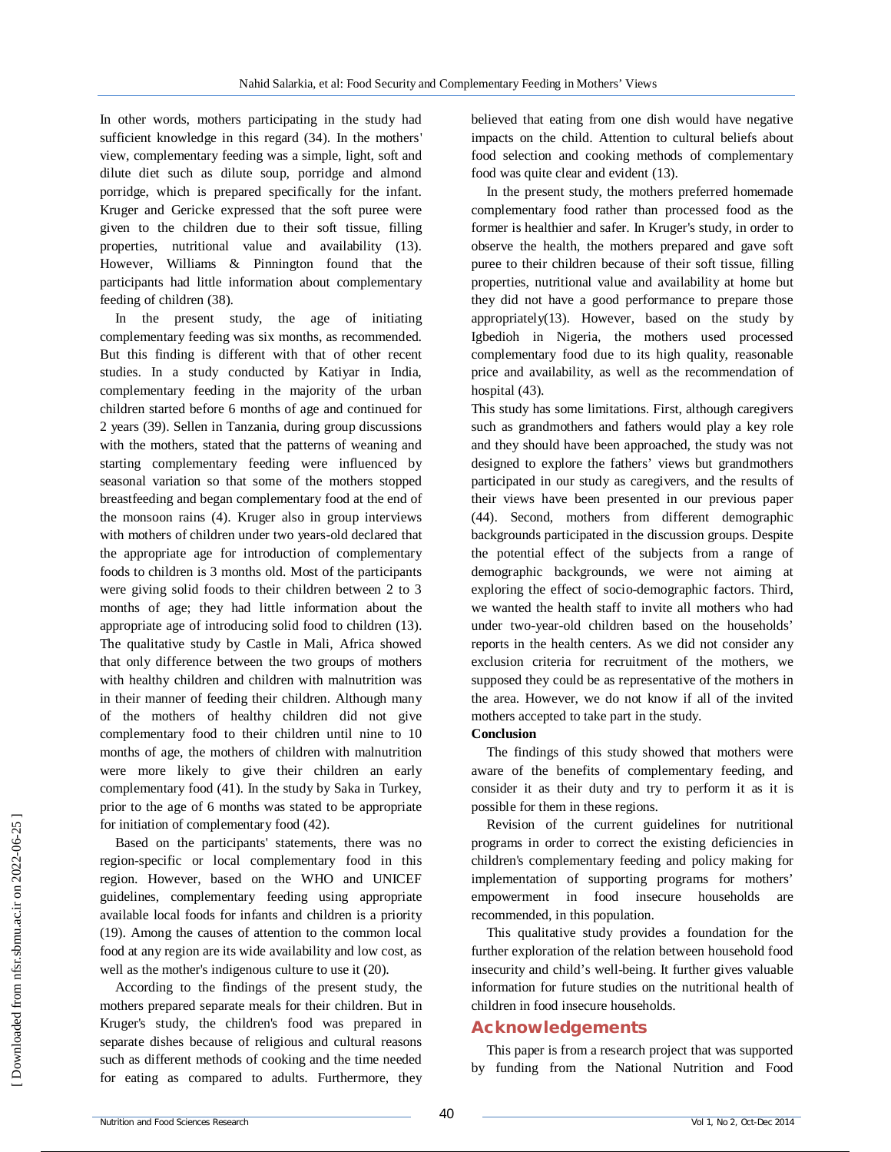In other words, mothers participating in the study had sufficient knowledge in this regard (34). In the mothers' view, complementary feeding was a simple, light, soft and dilute diet such as dilute soup, porridge and almond porridge, which is prepared specifically for the infant. Kruger and Gericke expressed that the soft puree were given to the children due to their soft tissue, filling properties, nutritional value and availability (13). However, Williams & Pinnington found that the participants had little information about complementary feeding of children (38).

In the present study, the age of initiating complementary feeding was six months, as recommended. But this finding is different with that of other recent studies. In a study conducted by Katiyar in India, complementary feeding in the majority of the urban children started before 6 months of age and continued for 2 years (39). Sellen in Tanzania, during group discussions with the mothers, stated that the patterns of weaning and starting complementary feeding were influenced by seasonal variation so that some of the mothers stopped breastfeeding and began complementary food at the end of the monsoon rains (4). Kruger also in group interviews with mothers of children under two years-old declared that the appropriate age for introduction of complementary foods to children is 3 months old. Most of the participants were giving solid foods to their children between 2 to 3 months of age; they had little information about the appropriate age of introducing solid food to children (13). The qualitative study by Castle in Mali, Africa showed that only difference between the two groups of mothers with healthy children and children with malnutrition was in their manner of feeding their children. Although many of the mothers of healthy children did not give complementary food to their children until nine to 10 months of age, the mothers of children with malnutrition were more likely to give their children an early complementary food (41). In the study by Saka in Turkey, prior to the age of 6 months was stated to be appropriate for initiation of complementary food (42).

Based on the participants' statements, there was no region-specific or local complementary food in this region. However, based on the WHO and UNICEF guidelines, complementary feeding using appropriate available local foods for infants and children is a priority (19). Among the causes of attention to the common local food at any region are its wide availability and low cost, as well as the mother's indigenous culture to use it (20).

According to the findings of the present study, the mothers prepared separate meals for their children. But in Kruger's study, the children's food was prepared in separate dishes because of religious and cultural reasons such as different methods of cooking and the time needed for eating as compared to adults. Furthermore, they

believed that eating from one dish would have negative impacts on the child. Attention to cultural beliefs about food selection and cooking methods of complementary food was quite clear and evident (13).

In the present study, the mothers preferred homemade complementary food rather than processed food as the former is healthier and safer. In Kruger's study, in order to observe the health, the mothers prepared and gave soft puree to their children because of their soft tissue, filling properties, nutritional value and availability at home but they did not have a good performance to prepare those appropriately $(13)$ . However, based on the study by Igbedioh in Nigeria, the mothers used processed complementary food due to its high quality, reasonable price and availability, as well as the recommendation of hospital (43).

This study has some limitations. First, although caregivers such as grandmothers and fathers would play a key role and they should have been approached, the study was not designed to explore the fathers' views but grandmothers participated in our study as caregivers, and the results of their views have been presented in our previous paper (44). Second, mothers from different demographic backgrounds participated in the discussion groups. Despite the potential effect of the subjects from a range of demographic backgrounds, we were not aiming at exploring the effect of socio-demographic factors. Third, we wanted the health staff to invite all mothers who had under two-year-old children based on the households' reports in the health centers. As we did not consider any exclusion criteria for recruitment of the mothers, we supposed they could be as representative of the mothers in the area. However, we do not know if all of the invited mothers accepted to take part in the study.

#### **Conclusion**

The findings of this study showed that mothers were aware of the benefits of complementary feeding, and consider it as their duty and try to perform it as it is possible for them in these regions.

Revision of the current guidelines for nutritional programs in order to correct the existing deficiencies in children's complementary feeding and policy making for implementation of supporting programs for mothers' empowerment in food insecure households are recommended, in this population.

This qualitative study provides a foundation for the further exploration of the relation between household food insecurity and child's well-being. It further gives valuable information for future studies on the nutritional health of children in food insecure households.

### **Acknowledgements**

This paper is from a research project that was supported by funding from the National Nutrition and Food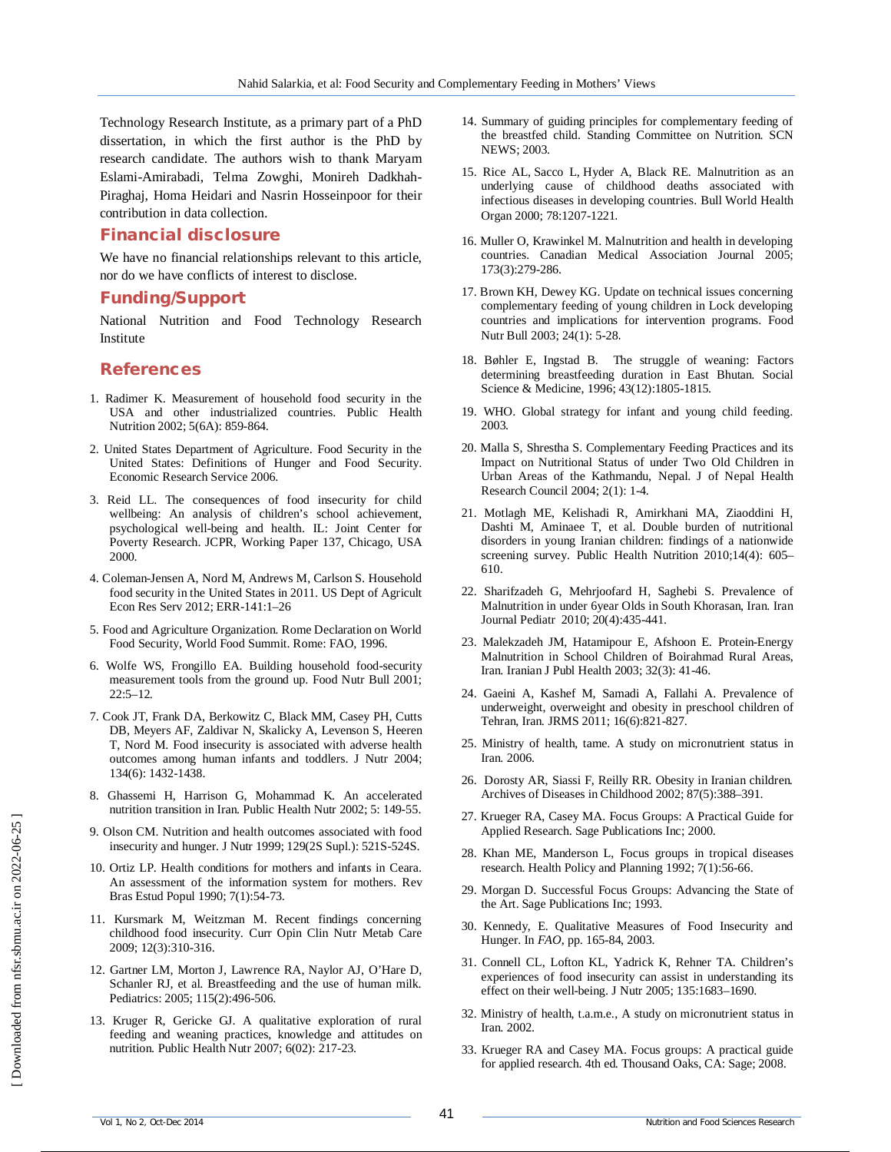Technology Research Institute, as a primary part of a PhD dissertation, in which the first author is the PhD by research candidate. The authors wish to thank Maryam Eslami-Amirabadi, Telma Zowghi, Monireh Dadkhah-Piraghaj, Homa Heidari and Nasrin Hosseinpoor for their contribution in data collection.

### **Financial disclosure**

We have no financial relationships relevant to this article, nor do we have conflicts of interest to disclose.

#### **Funding/Support**

National Nutrition and Food Technology Research Institute

#### **References**

- 1. Radimer K. Measurement of household food security in the USA and other industrialized countries. Public Health Nutrition 2002; 5(6A): 859-864.
- 2. United States Department of Agriculture. Food Security in the United States: Definitions of Hunger and Food Security. Economic Research Service 2006.
- 3. Reid LL. The consequences of food insecurity for child wellbeing: An analysis of children's school achievement, psychological well-being and health. IL: Joint Center for Poverty Research. JCPR, Working Paper 137, Chicago, USA 2000.
- 4. Coleman-Jensen A, Nord M, Andrews M, Carlson S. Household food security in the United States in 2011. US Dept of Agricult Econ Res Serv 2012; ERR-141:1–26
- 5. Food and Agriculture Organization. Rome Declaration on World Food Security, World Food Summit. Rome: FAO, 1996.
- 6. Wolfe WS, Frongillo EA. Building household food-security measurement tools from the ground up. Food Nutr Bull 2001; 22:5–12.
- 7. Cook JT, Frank DA, Berkowitz C, Black MM, Casey PH, Cutts DB, Meyers AF, Zaldivar N, Skalicky A, Levenson S, Heeren T, Nord M. Food insecurity is associated with adverse health outcomes among human infants and toddlers. J Nutr 2004; 134(6): 1432-1438.
- 8. Ghassemi H, Harrison G, Mohammad K. An accelerated nutrition transition in Iran. Public Health Nutr 2002; 5: 149-55.
- 9. Olson CM. Nutrition and health outcomes associated with food insecurity and hunger. J Nutr 1999; 129(2S Supl.): 521S-524S.
- 10. Ortiz LP. Health conditions for mothers and infants in Ceara. An assessment of the information system for mothers. Rev Bras Estud Popul 1990; 7(1):54-73.
- 11. Kursmark M, Weitzman M. Recent findings concerning childhood food insecurity. Curr Opin Clin Nutr Metab Care 2009; 12(3):310-316.
- 12. Gartner LM, Morton J, Lawrence RA, Naylor AJ, O'Hare D, Schanler RJ, et al. Breastfeeding and the use of human milk. Pediatrics: 2005; 115(2):496-506.
- 13. Kruger R, Gericke GJ. A qualitative exploration of rural feeding and weaning practices, knowledge and attitudes on nutrition. Public Health Nutr 2007; 6(02): 217-23.
- 14. Summary of guiding principles for complementary feeding of the breastfed child. Standing Committee on Nutrition. SCN NEWS; 2003.
- 15. Rice AL, Sacco L, Hyder A, Black RE. Malnutrition as an underlying cause of childhood deaths associated with infectious diseases in developing countries. Bull World Health Organ 2000; 78:1207-1221.
- 16. Muller O, Krawinkel M. Malnutrition and health in developing countries. Canadian Medical Association Journal 2005; 173(3):279-286.
- 17. Brown KH, Dewey KG. Update on technical issues concerning complementary feeding of young children in Lock developing countries and implications for intervention programs. Food Nutr Bull 2003; 24(1): 5-28.
- 18. Bøhler E, Ingstad B. The struggle of weaning: Factors determining breastfeeding duration in East Bhutan. Social Science & Medicine, 1996; 43(12):1805-1815.
- 19. WHO. Global strategy for infant and young child feeding. 2003.
- 20. Malla S, Shrestha S. Complementary Feeding Practices and its Impact on Nutritional Status of under Two Old Children in Urban Areas of the Kathmandu, Nepal. J of Nepal Health Research Council 2004; 2(1): 1-4.
- 21. Motlagh ME, Kelishadi R, Amirkhani MA, Ziaoddini H, Dashti M, Aminaee T, et al. Double burden of nutritional disorders in young Iranian children: findings of a nationwide screening survey. Public Health Nutrition 2010;14(4): 605– 610.
- 22. Sharifzadeh G, Mehrjoofard H, Saghebi S. Prevalence of Malnutrition in under 6year Olds in South Khorasan, Iran. Iran Journal Pediatr 2010; 20(4):435-441.
- 23. Malekzadeh JM, Hatamipour E, Afshoon E. Protein-Energy Malnutrition in School Children of Boirahmad Rural Areas, Iran. Iranian J Publ Health 2003; 32(3): 41-46.
- 24. Gaeini A, Kashef M, Samadi A, Fallahi A. Prevalence of underweight, overweight and obesity in preschool children of Tehran, Iran. JRMS 2011; 16(6):821-827.
- 25. Ministry of health, tame. A study on micronutrient status in Iran. 2006.
- 26. Dorosty AR, Siassi F, Reilly RR. Obesity in Iranian children. Archives of Diseases in Childhood 2002; 87(5):388–391.
- 27. Krueger RA, Casey MA. Focus Groups: A Practical Guide for Applied Research. Sage Publications Inc; 2000.
- 28. Khan ME, Manderson L, Focus groups in tropical diseases research. Health Policy and Planning 1992; 7(1):56-66.
- 29. Morgan D. Successful Focus Groups: Advancing the State of the Art. Sage Publications Inc; 1993.
- 30. Kennedy, E. Qualitative Measures of Food Insecurity and Hunger. In *FAO*, pp. 165-84, 2003.
- 31. Connell CL, Lofton KL, Yadrick K, Rehner TA. Children's experiences of food insecurity can assist in understanding its effect on their well-being. J Nutr 2005; 135:1683–1690.
- 32. Ministry of health, t.a.m.e., A study on micronutrient status in Iran. 2002.
- 33. Krueger RA and Casey MA. Focus groups: A practical guide for applied research. 4th ed. Thousand Oaks, CA: Sage; 2008.